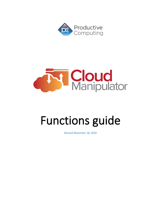



# Functions guide

*Revised November 18, 2020*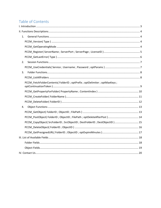# Table of Contents

| 1. |                                                                         |
|----|-------------------------------------------------------------------------|
|    |                                                                         |
|    |                                                                         |
|    |                                                                         |
|    |                                                                         |
| 2. |                                                                         |
|    |                                                                         |
| 3. |                                                                         |
|    |                                                                         |
|    | PCCM_FetchFolderContents(FolderID; optPrefix; optDelimiter; optMaxKeys; |
|    |                                                                         |
|    |                                                                         |
|    |                                                                         |
| 4. |                                                                         |
|    |                                                                         |
|    |                                                                         |
|    | PCCM_CopyObject(SrcFolderID;SrcObjectID;DestFolderID;DestObjectID)15    |
|    |                                                                         |
|    |                                                                         |
|    |                                                                         |
|    |                                                                         |
|    |                                                                         |
|    |                                                                         |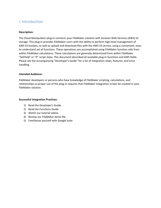# <span id="page-2-0"></span>I. Introduction

#### **Description:**

The Cloud Manipulator plug-in connects your FileMaker solution with Amazon Web Services (AWS) S3 storage. This plug-in provides FileMaker users with the ability to perform high-level management of AWS S3 buckets, as well as upload and download files with the AWS S3 service, using a convenient, easyto-understand set of functions. These operations are accomplished using FileMaker function calls from within FileMaker calculations. These calculations are generally determined from within FileMaker "SetField" or "If" script steps. This document described all available plug-in functions and AWS fields. Please see the accompanying "Developer's Guide" for a list of integration steps, features, and error handling.

#### **Intended Audience:**

FileMaker developers or persons who have knowledge of FileMaker scripting, calculations, and relationships as proper use of the plug-in requires that FileMaker integration scripts be created in your FileMaker solution.

#### **Successful Integration Practices:**

- 1) Read the Developer's Guide
- 2) Read the Functions Guide
- 3) Watch our tutorial videos
- 4) Review our FileMaker demo file
- 5) Familiarize yourself with Google Suite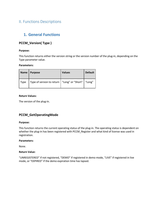# <span id="page-3-0"></span>II. Functions Descriptions

# <span id="page-3-1"></span>**1. General Functions**

## <span id="page-3-2"></span>**PCCM\_Version( Type )**

#### **Purpose:**

This function returns either the version string or the version number of the plug-in, depending on the Type parameter value.

#### **Parameters:**

|      | Name   Purpose                                         | <b>Values</b> | <b>Default</b> |
|------|--------------------------------------------------------|---------------|----------------|
| Type | Type of version to return   "Long" or "Short"   "Long" |               |                |

#### **Return Values:**

The version of the plug-in.

## <span id="page-3-3"></span>**PCCM\_GetOperatingMode**

#### **Purpose:**

This function returns the current operating status of the plug-in. The operating status is dependent on whether the plug-in has been registered with PCCM\_Register and what kind of license was used in registration.

#### **Parameters:**

None.

#### **Return Value:**

"UNREGISTERED" if not registered, "DEMO" if registered in demo mode, "LIVE" if registered in live mode, or "EXPIRED" if the demo expiration time has lapsed.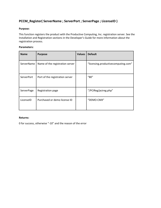## <span id="page-4-0"></span>**PCCM\_Register( ServerName ; ServerPort ; ServerPage ; LicenseID )**

#### **Purpose:**

This function registers the product with the Productive Computing, Inc. registration server. See the Installation and Registration sections in the Developer's Guide for more information about the registration process.

#### **Parameters:**

| <b>Name</b> | <b>Purpose</b>                  | <b>Values</b> | <b>Default</b>                      |
|-------------|---------------------------------|---------------|-------------------------------------|
| ServerName  | Name of the registration server |               | "licensing.productivecomputing.com" |
| ServerPort  | Port of the registration server |               | "80"                                |
| ServerPage  | Registration page               |               | "/PCIReg/pcireg.php"                |
| LicenselD   | Purchased or demo license ID    |               | "DEMO-CMX"                          |

#### **Returns:**

0 for success, otherwise "-10" and the reason of the error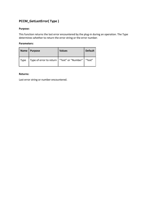# <span id="page-5-0"></span>**PCCM\_GetLastError( Type )**

#### **Purpose:**

This function returns the last error encountered by the plug-in during an operation. The Type determines whether to return the error string or the error number.

#### **Parameters:**

|      | Name   Purpose                                        | <b>Values</b> | <b>Default</b> |
|------|-------------------------------------------------------|---------------|----------------|
| Type | Type of error to return   "Text" or "Number"   "Text" |               |                |

#### **Returns:**

Last error string or number encountered.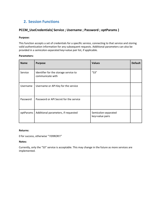# <span id="page-6-0"></span>**2. Session Functions**

### <span id="page-6-1"></span>**PCCM\_UseCredentials( Service ; Username ; Password ; optParams )**

#### **Purpose:**

This function accepts a set of credentials for a specific service, connecting to that service and storing valid authentication information for any subsequent requests. Additional parameters can also be provided in a semicolon-separated key=value pair list, if applicable.

#### **Parameters:**

| <b>Name</b> | <b>Purpose</b>                                            | <b>Values</b>                          | <b>Default</b> |
|-------------|-----------------------------------------------------------|----------------------------------------|----------------|
| Service     | Identifier for the storage service to<br>communicate with | "S3"                                   |                |
| Username    | Username or API Key for the service                       |                                        |                |
| Password    | Password or API Secret for the service                    |                                        |                |
| optParams   | Additional parameters, if requested                       | Semicolon-separated<br>key=value pairs |                |

#### **Returns:**

0 for success, otherwise "!!ERROR!!"

#### **Notes:**

Currently, only the "S3" service is acceptable. This may change in the future as more services are implemented.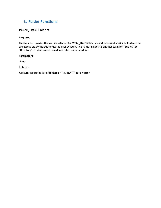# <span id="page-7-0"></span>**3. Folder Functions**

## <span id="page-7-1"></span>**PCCM\_ListAllFolders**

#### **Purpose:**

This function queries the service selected by PCCM\_UseCredentials and returns all available folders that are accessible by the authenticated user account. The name "Folder" is another term for "Bucket" or "Directory". Folders are returned as a return-separated list.

#### **Parameters:**

None.

#### **Returns:**

A return-separated list of folders or "!!ERROR!!" for an error.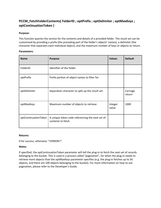## <span id="page-8-0"></span>**PCCM\_FetchFolderContents( FolderID ; optPrefix ; optDelimiter ; optMaxKeys ; optContinuationToken )**

#### **Purpose:**

This function queries the service for the contents and details of a provided folder. The result set can be customized by providing a prefix (the preceding part of the folder's objects' names), a delimiter (the character that separates each individual object), and the maximum number of keys or objects to return.

#### **Parameters:**

| <b>Name</b>          | <b>Purpose</b>                                                       | <b>Values</b>    | <b>Default</b>     |
|----------------------|----------------------------------------------------------------------|------------------|--------------------|
| FolderID             | Identifier of the folder                                             |                  |                    |
| optPrefix            | Prefix portion of object names to filter for                         |                  |                    |
| optDelimiter         | Separation character to split up the result set                      |                  | Carriage<br>return |
| optMaxKeys           | Maximum number of objects to retrieve                                | Integer<br>value | 1000               |
| optContinuationToken | A unique token code referencing the next set of<br>contents to fetch |                  |                    |

#### **Returns:**

0 for success, otherwise "!!ERROR!!".

#### **Notes:**

If specified, the optContinuationToken parameter will tell the plug-in to fetch the next set of records belonging to the bucket. This is used in a process called "pagination", for when the plug-in needs to retrieve more objects than the optMaxKeys parameter specifies (e.g. the plug-in fetches up to 50 objects, and there are 100 objects belonging to the bucket). For more information on how to use pagination, please refer to the Developer's Guide.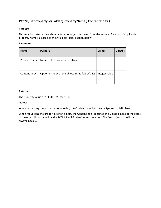## <span id="page-9-0"></span>**PCCM\_GetPropertyForFolder( PropertyName ; ContentIndex )**

#### **Purpose:**

This function returns data about a folder or object retrieved from the service. For a list of applicable property names, please see the Available Fields section below.

#### **Parameters:**

| <b>Name</b>  | <b>Purpose</b>                                     | <b>Values</b> | <b>Default</b> |
|--------------|----------------------------------------------------|---------------|----------------|
| PropertyName | Name of the property to retrieve                   |               |                |
| ContentIndex | Optional. Index of the object in the folder's list | Integer value |                |

#### **Returns:**

The property value or "!!ERROR!!" for error.

#### **Notes:**

When requesting the properties of a folder, the ContentIndex field can be ignored or left blank.

When requesting the properties of an object, the ContentIndex specified the 0-based index of the object in the object list obtained by the PCCM\_FetchFolderContents function. The first object in the list is always index 0.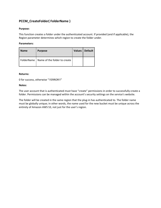## <span id="page-10-0"></span>**PCCM\_CreateFolder( FolderName )**

#### **Purpose:**

This function creates a folder under the authenticated account. If provided (and if applicable), the Region parameter determines which region to create the folder under.

#### **Parameters:**

| <b>Name</b> | <b>Purpose</b>                            | Values   Default |
|-------------|-------------------------------------------|------------------|
|             | FolderName   Name of the folder to create |                  |

#### **Returns:**

0 for success, otherwise "!!ERROR!!"

#### **Notes:**

The user account that is authenticated must have "create" permissions in order to successfully create a folder. Permissions can be managed within the account's security settings on the service's website.

The folder will be created in the same region that the plug-in has authenticated to. The folder name must be globally unique; in other words, the name used for the new bucket must be unique across the entirety of Amazon AWS S3, not just for the user's region.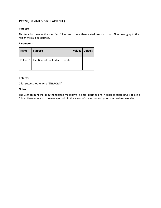# <span id="page-11-0"></span>**PCCM\_DeleteFolder( FolderID )**

#### **Purpose:**

This function deletes the specified folder from the authenticated user's account. Files belonging to the folder will also be deleted.

#### **Parameters:**

| <b>Name</b> | <b>Purpose</b>                       | <b>Values</b> | <b>Default</b> |
|-------------|--------------------------------------|---------------|----------------|
| FolderID    | I Identifier of the folder to delete |               |                |

#### **Returns:**

0 for success, otherwise "!!ERROR!!"

#### **Notes:**

The user account that is authenticated must have "delete" permissions in order to successfully delete a folder. Permissions can be managed within the account's security settings on the service's website.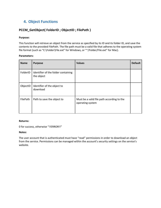# <span id="page-12-0"></span>**4. Object Functions**

## <span id="page-12-1"></span>**PCCM\_GetObject( FolderID ; ObjectID ; FilePath )**

#### **Purpose:**

This function will retrieve an object from the service as specified by its ID and its folder ID, and save the contents to the provided FilePath. The file path must be a valid file that adheres to the operating system file format (such as "C:\Folder\File.ext" for Windows, or "~/Folder/File.ext" for Mac).

#### **Parameters:**

| <b>Name</b> | <b>Purpose</b>                                    | <b>Values</b>                                                  | <b>Default</b> |
|-------------|---------------------------------------------------|----------------------------------------------------------------|----------------|
| FolderID    | Identifier of the folder containing<br>the object |                                                                |                |
| ObjectID    | Identifier of the object to<br>download           |                                                                |                |
| FilePath    | Path to save the object to                        | Must be a valid file path according to the<br>operating system |                |

#### **Returns:**

0 for success, otherwise "!!ERROR!!"

#### **Notes:**

The user account that is authenticated must have "read" permissions in order to download an object from the service. Permissions can be managed within the account's security settings on the service's website.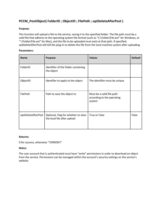# <span id="page-13-0"></span>**PCCM\_PostObject( FolderID ; ObjectID ; FilePath ; optDeleteAfterPost )**

#### **Purpose:**

This function will upload a file to the service, saving it to the specified folder. The file path must be a valid file that adheres to the operating system file format (such as "C:\Folder\File.ext" for Windows, or "~/Folder/File.ext" for Mac), and the file to be uploaded must exist at that path. If specified, optDeleteAfterPost will tell the plug-in to delete the file from the local machine system after uploading.

#### **Parameters:**

| <b>Name</b>        | <b>Purpose</b>                                                     | <b>Values</b>                                                     | <b>Default</b> |
|--------------------|--------------------------------------------------------------------|-------------------------------------------------------------------|----------------|
| FolderID           | Identifier of the folder containing<br>the object                  |                                                                   |                |
| ObjectID           | Identifier to apply to the object                                  | The identifier must be unique                                     |                |
| FilePath           | Path to save the object to                                         | Must be a valid file path<br>according to the operating<br>system |                |
| optDeleteAfterPost | Optional. Flag for whether to clear<br>the local file after upload | True or False                                                     | False          |

#### **Returns:**

0 for success, otherwise "!!ERROR!!"

#### **Notes:**

The user account that is authenticated must have "write" permissions in order to download an object from the service. Permissions can be managed within the account's security settings on the service's website.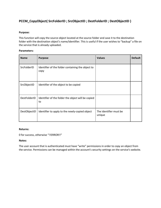## <span id="page-14-0"></span>**PCCM\_CopyObject( SrcFolderID ; SrcObjectID ; DestFolderID ; DestObjectID )**

#### **Purpose:**

This function will copy the source object located at the source folder and save it to the destination folder with the destination object's name/identifier. This is useful if the user wishes to "backup" a file on the service that is already uploaded.

#### **Parameters:**

| <b>Name</b>  | <b>Purpose</b>                                            | <b>Values</b>                    | <b>Default</b> |
|--------------|-----------------------------------------------------------|----------------------------------|----------------|
| SrcFolderID  | Identifier of the folder containing the object to<br>copy |                                  |                |
| SrcObjectID  | Identifier of the object to be copied                     |                                  |                |
| DestFolderID | Identifier of the folder the object will be copied<br>to  |                                  |                |
| DestObjectID | Identifier to apply to the newly-copied object            | The identifier must be<br>unique |                |

#### **Returns:**

0 for success, otherwise "!!ERROR!!"

#### **Notes:**

The user account that is authenticated must have "write" permissions in order to copy an object from the service. Permissions can be managed within the account's security settings on the service's website.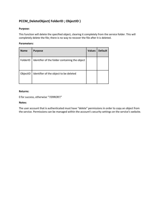## <span id="page-15-0"></span>**PCCM\_DeleteObject( FolderID ; ObjectID )**

#### **Purpose:**

This function will delete the specified object, clearing it completely from the service folder. This will completely delete the file; there is no way to recover the file after it is deleted.

#### **Parameters:**

| <b>Name</b> | <b>Purpose</b>                                 | <b>Values</b> | <b>Default</b> |
|-------------|------------------------------------------------|---------------|----------------|
| FolderID    | Identifier of the folder containing the object |               |                |
| ObjectID    | Identifier of the object to be deleted         |               |                |

#### **Returns:**

0 for success, otherwise "!!ERROR!!"

#### **Notes:**

The user account that is authenticated must have "delete" permissions in order to copy an object from the service. Permissions can be managed within the account's security settings on the service's website.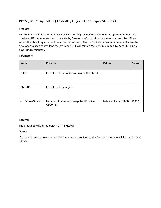## <span id="page-16-0"></span>**PCCM\_GetPresignedURL( FolderID ; ObjectID ; optExpireMinutes )**

#### **Purpose:**

This function will retrieve the presigned URL for the provided object within the specified folder. This presigned URL is generated automatically by Amazon AWS and allows any user that uses the URL to access the object regardless of their user permissions. The optExpireMinutes parameter will allow the developer to specify how long the presigned URL will remain "active", in minutes; by default, this is 7 days (10080 minutes).

#### **Parameters:**

| <b>Name</b>      | <b>Purpose</b>                                        | <b>Values</b>       | <b>Default</b> |
|------------------|-------------------------------------------------------|---------------------|----------------|
| FolderID         | Identifier of the folder containing the object        |                     |                |
| ObjectID         | Identifier of the object                              |                     |                |
| optExpireMinutes | Number of minutes to keep the URL alive.<br>Optional. | Between 0 and 10800 | 10800          |

#### **Returns:**

The presigned URL of the object, or "!!ERROR!!"

#### **Notes:**

If an expire time of greater than 10800 minutes is provided to the function, the time will be set to 10800 minutes.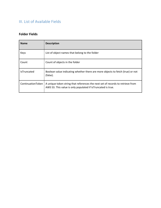# <span id="page-17-0"></span>III. List of Available Fields

## <span id="page-17-1"></span>**Folder Fields**

| <b>Name</b>        | <b>Description</b>                                                                                                                             |
|--------------------|------------------------------------------------------------------------------------------------------------------------------------------------|
| Keys               | List of object names that belong to the folder                                                                                                 |
| Count              | Count of objects in the folder                                                                                                                 |
| <b>IsTruncated</b> | Boolean value indicating whether there are more objects to fetch (true) or not<br>(false).                                                     |
| ContinuationToken  | A unique token string that references the next set of records to retrieve from<br>AWS S3. This value is only populated if IsTruncated is true. |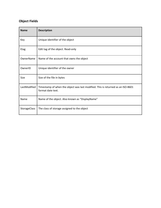# <span id="page-18-0"></span>**Object Fields**

| <b>Name</b>         | <b>Description</b>                                                                                   |
|---------------------|------------------------------------------------------------------------------------------------------|
| Key                 | Unique identifier of the object                                                                      |
| Etag                | Edit tag of the object. Read-only                                                                    |
| OwnerName           | Name of the account that owns the object                                                             |
| OwnerID             | Unique identifier of the owner                                                                       |
| Size                | Size of the file in bytes                                                                            |
| LastModified        | Timestamp of when the object was last modified. This is returned as an ISO-8601<br>format date text. |
| Name                | Name of the object. Also known as "DisplayName"                                                      |
| <b>StorageClass</b> | The class of storage assigned to the object                                                          |